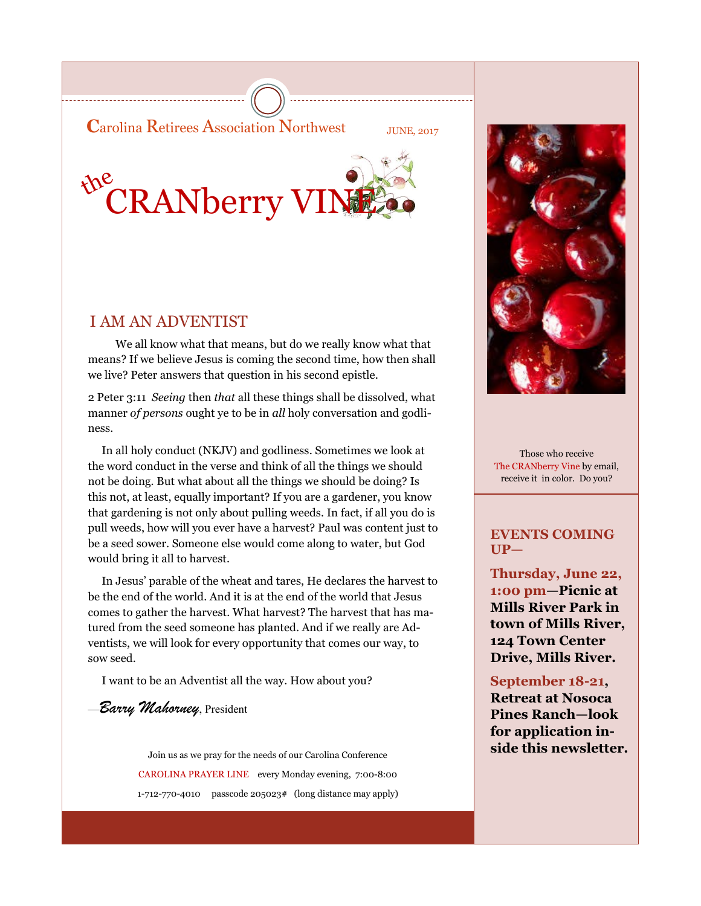**C**arolina Retirees Association Northwest JUNE, 2017



## I AM AN ADVENTIST

 We all know what that means, but do we really know what that means? If we believe Jesus is coming the second time, how then shall we live? Peter answers that question in his second epistle.

2 Peter 3:11 *Seeing* then *that* all these things shall be dissolved, what manner *of persons* ought ye to be in *all* holy conversation and godliness.

 In all holy conduct (NKJV) and godliness. Sometimes we look at the word conduct in the verse and think of all the things we should not be doing. But what about all the things we should be doing? Is this not, at least, equally important? If you are a gardener, you know that gardening is not only about pulling weeds. In fact, if all you do is pull weeds, how will you ever have a harvest? Paul was content just to be a seed sower. Someone else would come along to water, but God would bring it all to harvest.

 In Jesus' parable of the wheat and tares, He declares the harvest to be the end of the world. And it is at the end of the world that Jesus comes to gather the harvest. What harvest? The harvest that has matured from the seed someone has planted. And if we really are Adventists, we will look for every opportunity that comes our way, to sow seed.

I want to be an Adventist all the way. How about you?

—*Barry Mahorney*, President

Join us as we pray for the needs of our Carolina Conference **Side this newsletter.** CAROLINA PRAYER LINE every Monday evening, 7:00-8:00 1-712-770-4010 passcode 205023# (long distance may apply)



Those who receive The CRANberry Vine by email, receive it in color. Do you?

### **EVENTS COMING UP—**

**Thursday, June 22, 1:00 pm—Picnic at Mills River Park in town of Mills River, 124 Town Center Drive, Mills River.**

### **September 18-21,**

**Retreat at Nosoca Pines Ranch—look for application in-**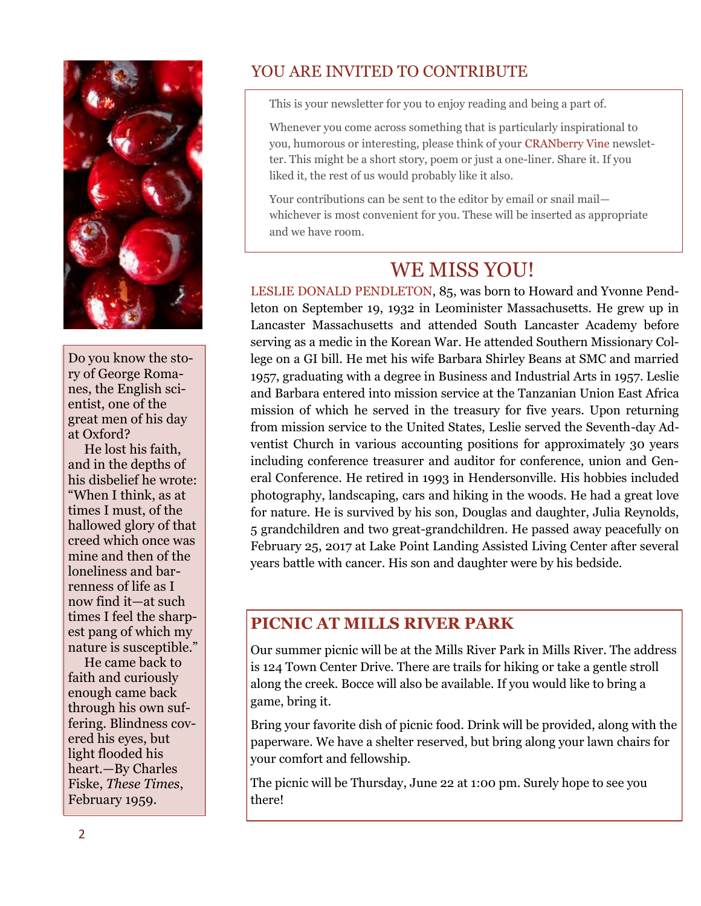

Do you know the story of George Romanes, the English scientist, one of the great men of his day at Oxford?

 He lost his faith, and in the depths of his disbelief he wrote: "When I think, as at times I must, of the hallowed glory of that creed which once was mine and then of the loneliness and barrenness of life as I now find it—at such times I feel the sharpest pang of which my nature is susceptible."

 He came back to faith and curiously enough came back through his own suffering. Blindness covered his eyes, but light flooded his heart.—By Charles Fiske, *These Times*, February 1959.

# YOU ARE INVITED TO CONTRIBUTE

This is your newsletter for you to enjoy reading and being a part of.

Whenever you come across something that is particularly inspirational to you, humorous or interesting, please think of your CRANberry Vine newsletter. This might be a short story, poem or just a one-liner. Share it. If you liked it, the rest of us would probably like it also.

Your contributions can be sent to the editor by email or snail mail whichever is most convenient for you. These will be inserted as appropriate and we have room.

# WE MISS YOU!

LESLIE DONALD PENDLETON, 85, was born to Howard and Yvonne Pendleton on September 19, 1932 in Leominister Massachusetts. He grew up in Lancaster Massachusetts and attended South Lancaster Academy before serving as a medic in the Korean War. He attended Southern Missionary College on a GI bill. He met his wife Barbara Shirley Beans at SMC and married 1957, graduating with a degree in Business and Industrial Arts in 1957. Leslie and Barbara entered into mission service at the Tanzanian Union East Africa mission of which he served in the treasury for five years. Upon returning from mission service to the United States, Leslie served the Seventh-day Adventist Church in various accounting positions for approximately 30 years including conference treasurer and auditor for conference, union and General Conference. He retired in 1993 in Hendersonville. His hobbies included photography, landscaping, cars and hiking in the woods. He had a great love for nature. He is survived by his son, Douglas and daughter, Julia Reynolds, 5 grandchildren and two great-grandchildren. He passed away peacefully on February 25, 2017 at Lake Point Landing Assisted Living Center after several years battle with cancer. His son and daughter were by his bedside.

## **PICNIC AT MILLS RIVER PARK**

Our summer picnic will be at the Mills River Park in Mills River. The address is 124 Town Center Drive. There are trails for hiking or take a gentle stroll along the creek. Bocce will also be available. If you would like to bring a game, bring it.

Bring your favorite dish of picnic food. Drink will be provided, along with the paperware. We have a shelter reserved, but bring along your lawn chairs for your comfort and fellowship.

The picnic will be Thursday, June 22 at 1:00 pm. Surely hope to see you there!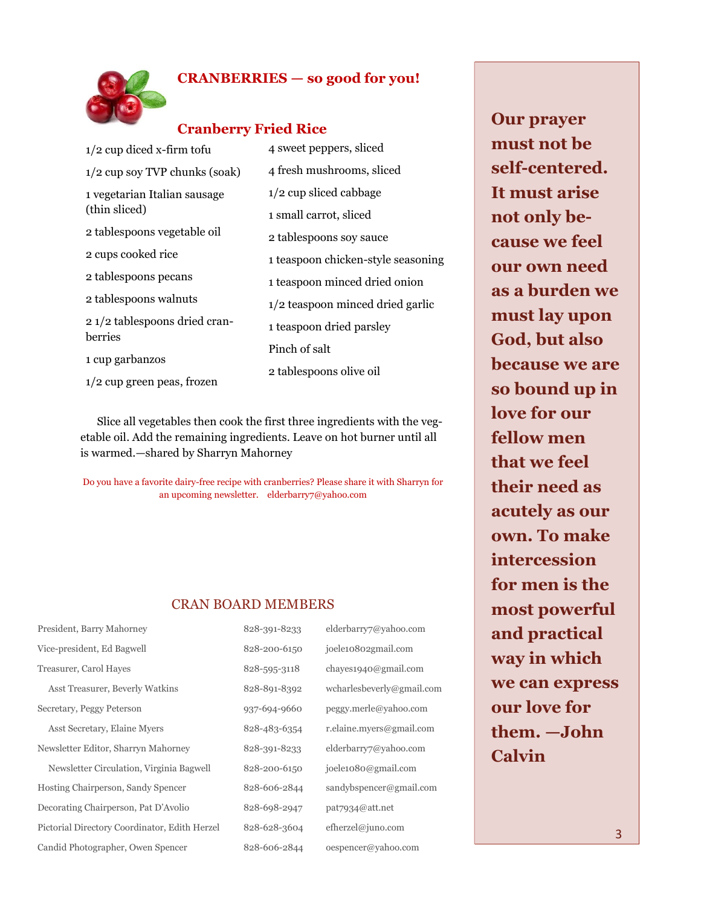

### **CRANBERRIES — so good for you!**

### **Cranberry Fried Rice**

| $1/2$ cup diced x-firm tofu                                 | 4 sweet peppers, sliced            |  |
|-------------------------------------------------------------|------------------------------------|--|
| $1/2$ cup soy TVP chunks (soak)                             | 4 fresh mushrooms, sliced          |  |
| 1 vegetarian Italian sausage<br>(thin sliced)               | $1/2$ cup sliced cabbage           |  |
|                                                             | 1 small carrot, sliced             |  |
| 2 tablespoons vegetable oil                                 | 2 tablespoons soy sauce            |  |
| 2 cups cooked rice                                          | 1 teaspoon chicken-style seasoning |  |
| 2 tablespoons pecans                                        | 1 teaspoon minced dried onion      |  |
| 2 tablespoons walnuts                                       | $1/2$ teaspoon minced dried garlic |  |
| 2 1/2 tablespoons dried cran-<br>berries<br>1 cup garbanzos | 1 teaspoon dried parsley           |  |
|                                                             | Pinch of salt                      |  |
|                                                             | 2 tablespoons olive oil            |  |
| $1/2$ cup green peas, frozen                                |                                    |  |

 Slice all vegetables then cook the first three ingredients with the vegetable oil. Add the remaining ingredients. Leave on hot burner until all is warmed.—shared by Sharryn Mahorney

Do you have a favorite dairy-free recipe with cranberries? Please share it with Sharryn for an upcoming newsletter. elderbarry7@yahoo.com

#### CRAN BOARD MEMBERS

| President, Barry Mahorney                     | 828-391-8233 | elderbarry7@yahoo.com     |
|-----------------------------------------------|--------------|---------------------------|
| Vice-president, Ed Bagwell                    | 828-200-6150 | joele10802gmail.com       |
| Treasurer, Carol Hayes                        | 828-595-3118 | chayes1940@gmail.com      |
| Asst Treasurer, Beverly Watkins               | 828-891-8392 | wcharlesbeverly@gmail.com |
| Secretary, Peggy Peterson                     | 937-694-9660 | peggy.merle@yahoo.com     |
| Asst Secretary, Elaine Myers                  | 828-483-6354 | r.elaine.myers@gmail.com  |
| Newsletter Editor, Sharryn Mahorney           | 828-391-8233 | elderbarry7@yahoo.com     |
| Newsletter Circulation, Virginia Bagwell      | 828-200-6150 | joele1080@gmail.com       |
| Hosting Chairperson, Sandy Spencer            | 828-606-2844 | sandybspencer@gmail.com   |
| Decorating Chairperson, Pat D'Avolio          | 828-698-2947 | pat7934@att.net           |
| Pictorial Directory Coordinator, Edith Herzel | 828-628-3604 | efherzel@juno.com         |
| Candid Photographer, Owen Spencer             | 828-606-2844 | oespencer@yahoo.com       |

**Our prayer must not be self-centered. It must arise not only because we feel our own need as a burden we must lay upon God, but also because we are so bound up in love for our fellow men that we feel their need as acutely as our own. To make intercession for men is the most powerful and practical way in which we can express our love for them. —John Calvin**